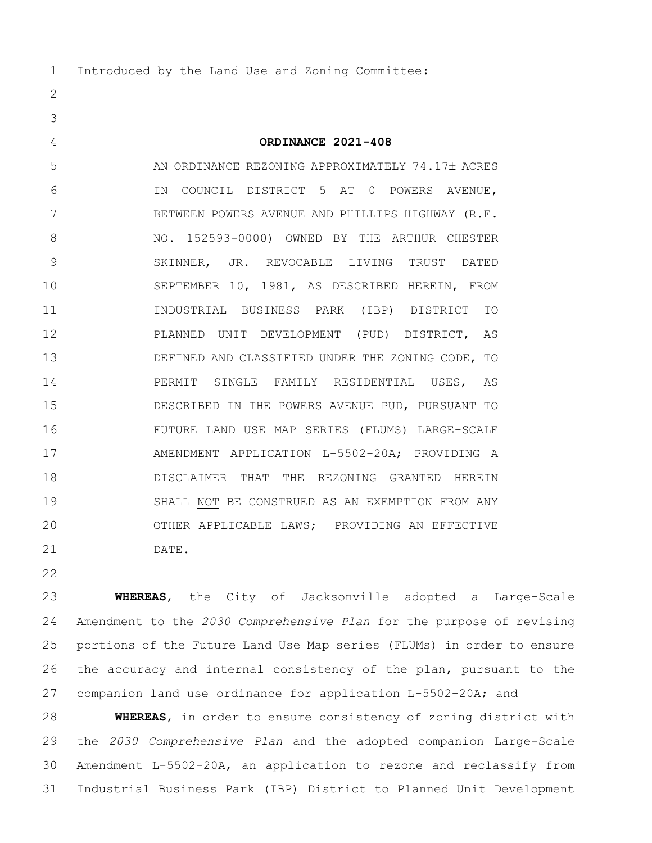Introduced by the Land Use and Zoning Committee:

## **ORDINANCE 2021-408**

5 AN ORDINANCE REZONING APPROXIMATELY 74.17± ACRES IN COUNCIL DISTRICT 5 AT 0 POWERS AVENUE, 7 BETWEEN POWERS AVENUE AND PHILLIPS HIGHWAY (R.E. 8 NO. 152593-0000) OWNED BY THE ARTHUR CHESTER 9 SKINNER, JR. REVOCABLE LIVING TRUST DATED 10 SEPTEMBER 10, 1981, AS DESCRIBED HEREIN, FROM INDUSTRIAL BUSINESS PARK (IBP) DISTRICT TO PLANNED UNIT DEVELOPMENT (PUD) DISTRICT, AS 13 DEFINED AND CLASSIFIED UNDER THE ZONING CODE, TO 14 | PERMIT SINGLE FAMILY RESIDENTIAL USES, AS DESCRIBED IN THE POWERS AVENUE PUD, PURSUANT TO FUTURE LAND USE MAP SERIES (FLUMS) LARGE-SCALE 17 AMENDMENT APPLICATION L-5502-20A; PROVIDING A DISCLAIMER THAT THE REZONING GRANTED HEREIN 19 SHALL NOT BE CONSTRUED AS AN EXEMPTION FROM ANY 20 OTHER APPLICABLE LAWS; PROVIDING AN EFFECTIVE DATE.

 **WHEREAS**, the City of Jacksonville adopted a Large-Scale Amendment to the *2030 Comprehensive Plan* for the purpose of revising portions of the Future Land Use Map series (FLUMs) in order to ensure 26 the accuracy and internal consistency of the plan, pursuant to the companion land use ordinance for application L-5502-20A; and

 **WHEREAS**, in order to ensure consistency of zoning district with the *2030 Comprehensive Plan* and the adopted companion Large-Scale Amendment L-5502-20A, an application to rezone and reclassify from Industrial Business Park (IBP) District to Planned Unit Development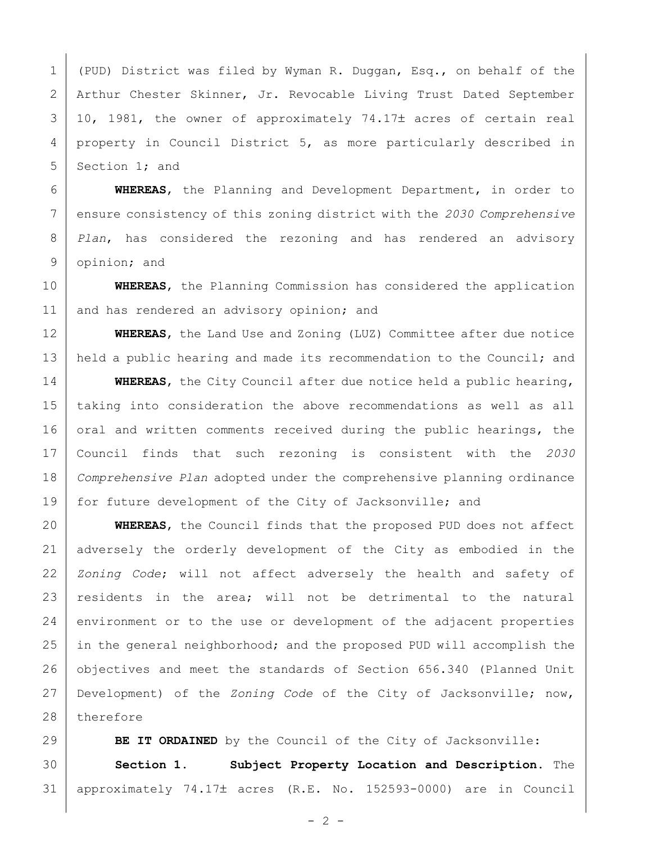1 (PUD) District was filed by Wyman R. Duggan, Esq., on behalf of the Arthur Chester Skinner, Jr. Revocable Living Trust Dated September 3 10, 1981, the owner of approximately 74.17± acres of certain real property in Council District 5, as more particularly described in 5 Section 1; and

 **WHEREAS**, the Planning and Development Department, in order to ensure consistency of this zoning district with the *2030 Comprehensive Plan*, has considered the rezoning and has rendered an advisory opinion; and

 **WHEREAS**, the Planning Commission has considered the application 11 and has rendered an advisory opinion; and

 **WHEREAS**, the Land Use and Zoning (LUZ) Committee after due notice 13 held a public hearing and made its recommendation to the Council; and

 **WHEREAS**, the City Council after due notice held a public hearing, taking into consideration the above recommendations as well as all 16 oral and written comments received during the public hearings, the Council finds that such rezoning is consistent with the *2030 Comprehensive Plan* adopted under the comprehensive planning ordinance for future development of the City of Jacksonville; and

 **WHEREAS**, the Council finds that the proposed PUD does not affect adversely the orderly development of the City as embodied in the *Zoning Code*; will not affect adversely the health and safety of 23 residents in the area; will not be detrimental to the natural 24 environment or to the use or development of the adjacent properties 25 in the general neighborhood; and the proposed PUD will accomplish the objectives and meet the standards of Section 656.340 (Planned Unit Development) of the *Zoning Code* of the City of Jacksonville; now, 28 therefore

**BE IT ORDAINED** by the Council of the City of Jacksonville: **Section 1. Subject Property Location and Description.** The approximately 74.17 acres (R.E. No. 152593-0000) are in Council

 $- 2 -$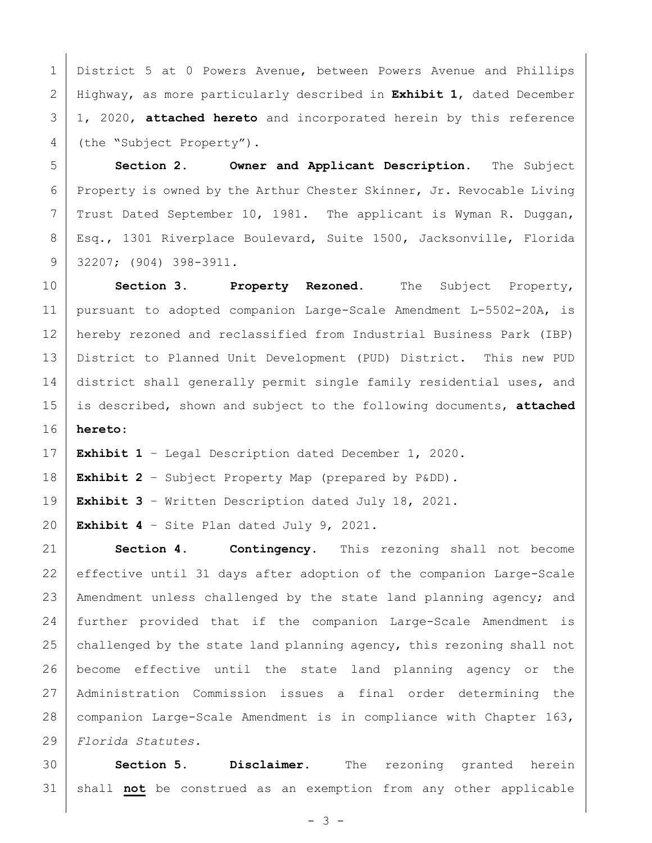District 5 at 0 Powers Avenue, between Powers Avenue and Phillips Highway, as more particularly described in **Exhibit 1**, dated December 1, 2020, **attached hereto** and incorporated herein by this reference 4 (the "Subject Property").

 **Section 2. Owner and Applicant Description.** The Subject Property is owned by the Arthur Chester Skinner, Jr. Revocable Living Trust Dated September 10, 1981. The applicant is Wyman R. Duggan, Esq., 1301 Riverplace Boulevard, Suite 1500, Jacksonville, Florida 32207; (904) 398-3911.

 **Section 3. Property Rezoned.** The Subject Property, pursuant to adopted companion Large-Scale Amendment L-5502-20A, is hereby rezoned and reclassified from Industrial Business Park (IBP) District to Planned Unit Development (PUD) District. This new PUD 14 district shall generally permit single family residential uses, and is described, shown and subject to the following documents, **attached hereto**:

**Exhibit 1** – Legal Description dated December 1, 2020.

**Exhibit 2** – Subject Property Map (prepared by P&DD).

**Exhibit 3** – Written Description dated July 18, 2021.

**Exhibit 4** – Site Plan dated July 9, 2021.

 **Section 4. Contingency.** This rezoning shall not become effective until 31 days after adoption of the companion Large-Scale 23 | Amendment unless challenged by the state land planning agency; and further provided that if the companion Large-Scale Amendment is 25 challenged by the state land planning agency, this rezoning shall not become effective until the state land planning agency or the Administration Commission issues a final order determining the companion Large-Scale Amendment is in compliance with Chapter 163, *Florida Statutes.*

 **Section 5. Disclaimer.** The rezoning granted herein shall **not** be construed as an exemption from any other applicable